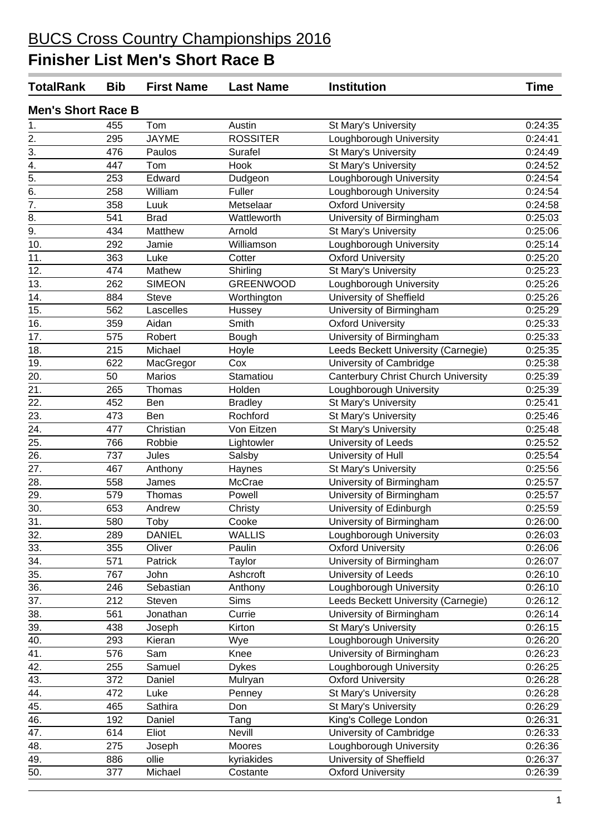| <b>TotalRank</b>          | <b>Bib</b> | <b>First Name</b> | <b>Last Name</b> | <b>Institution</b>                         | <b>Time</b> |
|---------------------------|------------|-------------------|------------------|--------------------------------------------|-------------|
| <b>Men's Short Race B</b> |            |                   |                  |                                            |             |
| 1.                        | 455        | Tom               | Austin           | St Mary's University                       | 0:24:35     |
| $\overline{2}$ .          | 295        | <b>JAYME</b>      | <b>ROSSITER</b>  | Loughborough University                    | 0:24:41     |
| 3.                        | 476        | Paulos            | Surafel          | St Mary's University                       | 0:24:49     |
| 4.                        | 447        | Tom               | Hook             | St Mary's University                       | 0:24:52     |
| $\overline{5}$ .          | 253        | Edward            | Dudgeon          | Loughborough University                    | 0:24:54     |
| $\overline{6}$ .          | 258        | William           | Fuller           | Loughborough University                    | 0:24:54     |
| 7.                        | 358        | Luuk              | Metselaar        | <b>Oxford University</b>                   | 0:24:58     |
| 8.                        | 541        | <b>Brad</b>       | Wattleworth      | University of Birmingham                   | 0:25:03     |
| $\overline{9}$ .          | 434        | Matthew           | Arnold           | St Mary's University                       | 0:25:06     |
| 10.                       | 292        | Jamie             | Williamson       | Loughborough University                    | 0:25:14     |
| 11.                       | 363        | Luke              | Cotter           | <b>Oxford University</b>                   | 0:25:20     |
| 12.                       | 474        | Mathew            | Shirling         | St Mary's University                       | 0:25:23     |
| 13.                       | 262        | <b>SIMEON</b>     | <b>GREENWOOD</b> | Loughborough University                    | 0:25:26     |
| 14.                       | 884        | <b>Steve</b>      | Worthington      | University of Sheffield                    | 0:25:26     |
| 15.                       | 562        | Lascelles         | Hussey           | University of Birmingham                   | 0:25:29     |
| 16.                       | 359        | Aidan             | Smith            | <b>Oxford University</b>                   | 0:25:33     |
| 17.                       | 575        | Robert            | Bough            | University of Birmingham                   | 0:25:33     |
| 18.                       | 215        | Michael           | Hoyle            | Leeds Beckett University (Carnegie)        | 0:25:35     |
| 19.                       | 622        | MacGregor         | Cox              | University of Cambridge                    | 0:25:38     |
| 20.                       | 50         | <b>Marios</b>     | Stamatiou        | <b>Canterbury Christ Church University</b> | 0:25:39     |
| 21.                       | 265        | Thomas            | Holden           | Loughborough University                    | 0:25:39     |
| 22.                       | 452        | Ben               | <b>Bradley</b>   | St Mary's University                       | 0:25:41     |
| $\overline{23}$ .         | 473        | <b>Ben</b>        | Rochford         | St Mary's University                       | 0:25:46     |
| 24.                       | 477        | Christian         | Von Eitzen       | St Mary's University                       | 0:25:48     |
| 25.                       | 766        | Robbie            | Lightowler       | University of Leeds                        | 0:25:52     |
| 26.                       | 737        | Jules             | Salsby           | University of Hull                         | 0:25:54     |
| 27.                       | 467        | Anthony           | Haynes           | St Mary's University                       | 0:25:56     |
| 28.                       | 558        | James             | McCrae           | University of Birmingham                   | 0:25:57     |
| 29.                       | 579        | Thomas            | Powell           | University of Birmingham                   | 0:25:57     |
| 30.                       | 653        | Andrew            | Christy          | University of Edinburgh                    | 0:25:59     |
| 31.                       | 580        | Toby              | Cooke            | University of Birmingham                   | 0:26:00     |
| 32.                       | 289        | <b>DANIEL</b>     | <b>WALLIS</b>    | Loughborough University                    | 0:26:03     |
| 33.                       | 355        | Oliver            | Paulin           | <b>Oxford University</b>                   | 0:26:06     |
| 34.                       | 571        | Patrick           | Taylor           | University of Birmingham                   | 0:26:07     |
| 35.                       | 767        | John              | Ashcroft         | University of Leeds                        | 0:26:10     |
| 36.                       | 246        | Sebastian         | Anthony          | Loughborough University                    | 0:26:10     |
| 37.                       | 212        | Steven            | Sims             | Leeds Beckett University (Carnegie)        | 0:26:12     |
| 38.                       | 561        | Jonathan          | Currie           | University of Birmingham                   | 0:26:14     |
| 39.                       | 438        | Joseph            | Kirton           | St Mary's University                       | 0:26:15     |
| 40.                       | 293        | Kieran            | Wye              | Loughborough University                    | 0:26:20     |
| 41.                       | 576        | Sam               | Knee             | University of Birmingham                   | 0:26:23     |
| $\overline{42.}$          | 255        | Samuel            | <b>Dykes</b>     | Loughborough University                    | 0:26:25     |
| 43.                       | 372        | Daniel            |                  | <b>Oxford University</b>                   | 0:26:28     |
| 44.                       | 472        | Luke              | Mulryan          | St Mary's University                       | 0:26:28     |
|                           |            |                   | Penney           |                                            |             |
| 45.<br>46.                | 465        | Sathira           | Don              | St Mary's University                       | 0:26:29     |
|                           | 192        | Daniel            | Tang             | King's College London                      | 0:26:31     |
| 47.                       | 614        | Eliot             | Nevill           | University of Cambridge                    | 0:26:33     |
| 48.                       | 275        | Joseph            | Moores           | Loughborough University                    | 0:26:36     |
| 49.                       | 886        | ollie             | kyriakides       | University of Sheffield                    | 0:26:37     |
| 50.                       | 377        | Michael           | Costante         | <b>Oxford University</b>                   | 0:26:39     |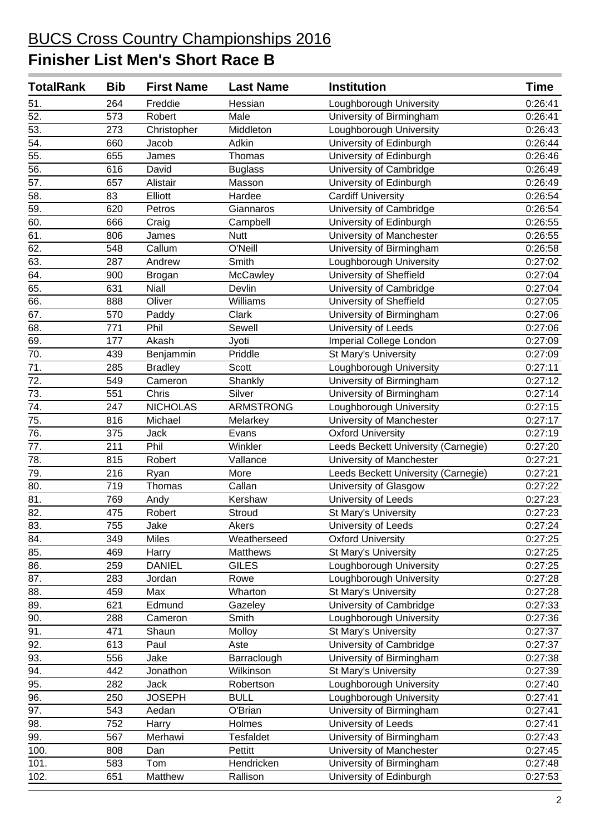| <b>TotalRank</b>  | <b>Bib</b> | <b>First Name</b> | <b>Last Name</b> | <b>Institution</b>                  | <b>Time</b> |
|-------------------|------------|-------------------|------------------|-------------------------------------|-------------|
| 51.               | 264        | Freddie           | Hessian          | Loughborough University             | 0:26:41     |
| $\overline{52}$ . | 573        | Robert            | Male             | University of Birmingham            | 0:26:41     |
| 53.               | 273        | Christopher       | Middleton        | Loughborough University             | 0:26:43     |
| $\overline{54}$ . | 660        | Jacob             | Adkin            | University of Edinburgh             | 0:26:44     |
| 55.               | 655        | James             | Thomas           | University of Edinburgh             | 0:26:46     |
| 56.               | 616        | David             | <b>Buglass</b>   | University of Cambridge             | 0:26:49     |
| 57.               | 657        | Alistair          | Masson           | University of Edinburgh             | 0:26:49     |
| 58.               | 83         | Elliott           | Hardee           | <b>Cardiff University</b>           | 0:26:54     |
| $\overline{59}$ . | 620        | Petros            | Giannaros        | University of Cambridge             | 0:26:54     |
| 60.               | 666        | Craig             | Campbell         | University of Edinburgh             | 0:26:55     |
| 61.               | 806        | James             | <b>Nutt</b>      | University of Manchester            | 0:26:55     |
| 62.               | 548        | Callum            | O'Neill          | University of Birmingham            | 0:26:58     |
| 63.               | 287        | Andrew            | Smith            | Loughborough University             | 0:27:02     |
| 64.               | 900        | <b>Brogan</b>     | McCawley         | University of Sheffield             | 0:27:04     |
| 65.               | 631        | <b>Niall</b>      | Devlin           | University of Cambridge             | 0:27:04     |
| 66.               | 888        | Oliver            | Williams         | University of Sheffield             | 0:27:05     |
| 67.               | 570        | Paddy             | Clark            | University of Birmingham            | 0:27:06     |
| 68.               | 771        | Phil              | Sewell           | University of Leeds                 | 0:27:06     |
| 69.               | 177        | Akash             | Jyoti            | Imperial College London             | 0:27:09     |
| $\overline{70}$ . | 439        | Benjammin         | Priddle          | St Mary's University                | 0:27:09     |
| 71.               | 285        | <b>Bradley</b>    | Scott            | Loughborough University             | 0:27:11     |
| 72.               | 549        | Cameron           | Shankly          | University of Birmingham            | 0:27:12     |
| 73.               | 551        | Chris             | Silver           | University of Birmingham            | 0:27:14     |
| $\overline{74.}$  | 247        | <b>NICHOLAS</b>   | ARMSTRONG        | Loughborough University             | 0:27:15     |
| 75.               | 816        | Michael           | Melarkey         | University of Manchester            | 0:27:17     |
| 76.               | 375        | Jack              | Evans            | <b>Oxford University</b>            | 0:27:19     |
| 77.               | 211        | Phil              | Winkler          | Leeds Beckett University (Carnegie) | 0:27:20     |
| $\overline{78}$ . | 815        | Robert            | Vallance         | University of Manchester            | 0:27:21     |
| 79.               | 216        | Ryan              | More             | Leeds Beckett University (Carnegie) | 0:27:21     |
| 80.               | 719        | Thomas            | Callan           | University of Glasgow               | 0:27:22     |
| 81.               | 769        | Andy              | Kershaw          | University of Leeds                 | 0:27:23     |
| $\overline{82}$ . | 475        | Robert            | Stroud           | St Mary's University                | 0:27:23     |
| 83.               | 755        | Jake              | Akers            | University of Leeds                 | 0:27:24     |
| 84.               | 349        | <b>Miles</b>      | Weatherseed      | <b>Oxford University</b>            | 0:27:25     |
| 85.               | 469        | Harry             | <b>Matthews</b>  | St Mary's University                | 0:27:25     |
| 86.               | 259        | <b>DANIEL</b>     | <b>GILES</b>     | Loughborough University             | 0:27:25     |
| 87.               | 283        | Jordan            | Rowe             | Loughborough University             | 0:27:28     |
| 88.               | 459        | Max               | Wharton          | St Mary's University                | 0:27:28     |
| 89.               | 621        | Edmund            | Gazeley          | University of Cambridge             | 0:27:33     |
| 90.               | 288        | Cameron           | Smith            | Loughborough University             | 0:27:36     |
| 91.               | 471        | Shaun             | Molloy           | St Mary's University                | 0:27:37     |
| 92.               | 613        | Paul              | Aste             | University of Cambridge             | 0:27:37     |
| 93.               | 556        | Jake              | Barraclough      | University of Birmingham            | 0:27:38     |
| 94.               | 442        | Jonathon          | Wilkinson        | St Mary's University                | 0:27:39     |
| 95.               | 282        | <b>Jack</b>       | Robertson        | Loughborough University             | 0:27:40     |
| 96.               | 250        | <b>JOSEPH</b>     | <b>BULL</b>      | Loughborough University             | 0:27:41     |
| 97.               | 543        | Aedan             | O'Brian          | University of Birmingham            | 0:27:41     |
| 98.               | 752        | Harry             | Holmes           | University of Leeds                 | 0:27:41     |
| 99.               | 567        | Merhawi           | <b>Tesfaldet</b> | University of Birmingham            | 0:27:43     |
| 100.              | 808        | Dan               | Pettitt          | University of Manchester            | 0:27:45     |
| 101.              | 583        | Tom               | Hendricken       | University of Birmingham            | 0:27:48     |
| 102.              | 651        | Matthew           | Rallison         | University of Edinburgh             | 0:27:53     |
|                   |            |                   |                  |                                     |             |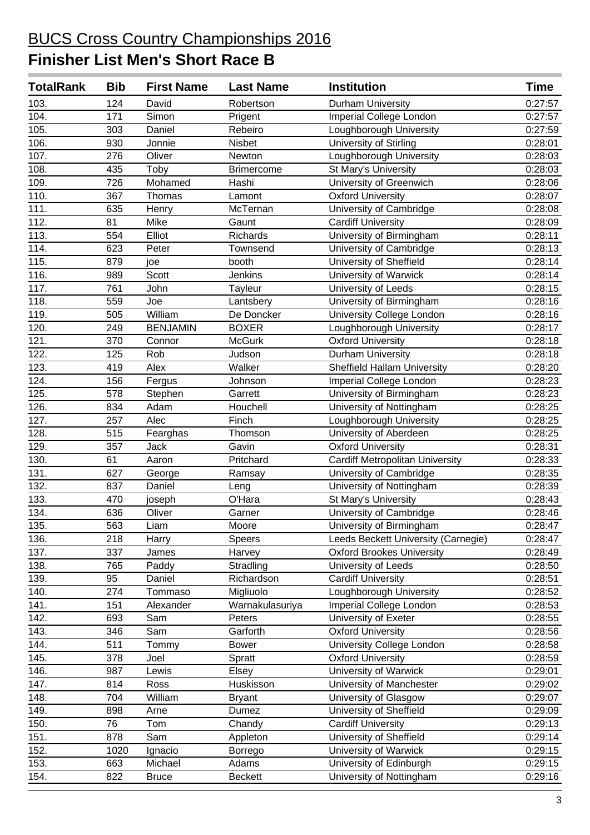| <b>TotalRank</b> | <b>Bib</b> | <b>First Name</b> | <b>Last Name</b>  | <b>Institution</b>                     | <b>Time</b> |
|------------------|------------|-------------------|-------------------|----------------------------------------|-------------|
| 103.             | 124        | David             | Robertson         | Durham University                      | 0:27:57     |
| 104.             | 171        | Simon             | Prigent           | Imperial College London                | 0:27:57     |
| 105.             | 303        | Daniel            | Rebeiro           | Loughborough University                | 0:27:59     |
| 106.             | 930        | Jonnie            | <b>Nisbet</b>     | University of Stirling                 | 0:28:01     |
| 107.             | 276        | Oliver            | Newton            | Loughborough University                | 0:28:03     |
| 108.             | 435        | Toby              | <b>Brimercome</b> | St Mary's University                   | 0:28:03     |
| 109.             | 726        | Mohamed           | Hashi             | University of Greenwich                | 0:28:06     |
| 110.             | 367        | Thomas            | Lamont            | <b>Oxford University</b>               | 0:28:07     |
| 111.             | 635        | Henry             | McTernan          | University of Cambridge                | 0:28:08     |
| 112.             | 81         | Mike              | Gaunt             | <b>Cardiff University</b>              | 0:28:09     |
| 113.             | 554        | Elliot            | Richards          | University of Birmingham               | 0:28:11     |
| 114.             | 623        | Peter             | Townsend          | University of Cambridge                | 0:28:13     |
| 115.             | 879        | joe               | booth             | University of Sheffield                | 0:28:14     |
| 116.             | 989        | <b>Scott</b>      | <b>Jenkins</b>    | University of Warwick                  | 0:28:14     |
| 117.             | 761        | John              | Tayleur           | University of Leeds                    | 0:28:15     |
| 118.             | 559        | Joe               | Lantsbery         | University of Birmingham               | 0:28:16     |
| 119.             | 505        | William           | De Doncker        | University College London              | 0:28:16     |
| 120.             | 249        | <b>BENJAMIN</b>   | <b>BOXER</b>      | Loughborough University                | 0:28:17     |
| 121.             | 370        | Connor            | <b>McGurk</b>     | <b>Oxford University</b>               | 0:28:18     |
| 122.             | 125        | Rob               | Judson            | Durham University                      | 0:28:18     |
| 123.             | 419        | Alex              | Walker            | <b>Sheffield Hallam University</b>     | 0:28:20     |
| 124.             | 156        | Fergus            | Johnson           | Imperial College London                | 0:28:23     |
| 125.             | 578        | Stephen           | Garrett           | University of Birmingham               | 0:28:23     |
| 126.             | 834        | Adam              | Houchell          | University of Nottingham               | 0:28:25     |
| 127.             | 257        | Alec              | Finch             | Loughborough University                | 0:28:25     |
| 128.             | 515        | Fearghas          | Thomson           | University of Aberdeen                 | 0:28:25     |
| 129.             | 357        | Jack              | Gavin             | <b>Oxford University</b>               | 0:28:31     |
| 130.             | 61         | Aaron             | Pritchard         | <b>Cardiff Metropolitan University</b> | 0:28:33     |
| 131.             | 627        | George            | Ramsay            | University of Cambridge                | 0:28:35     |
| 132.             | 837        | Daniel            | Leng              | University of Nottingham               | 0:28:39     |
| 133.             | 470        | joseph            | O'Hara            | St Mary's University                   | 0:28:43     |
| 134.             | 636        | Oliver            | Garner            | University of Cambridge                | 0:28:46     |
| 135.             | 563        | Liam              | Moore             | University of Birmingham               | 0:28:47     |
| 136.             | 218        | Harry             | Speers            | Leeds Beckett University (Carnegie)    | 0:28:47     |
| 137.             | 337        | James             | Harvey            | <b>Oxford Brookes University</b>       | 0:28:49     |
| 138.             | 765        | Paddy             | Stradling         | University of Leeds                    | 0:28:50     |
| 139.             | 95         | Daniel            | Richardson        | <b>Cardiff University</b>              | 0:28:51     |
| 140.             | 274        | Tommaso           | Migliuolo         | Loughborough University                | 0:28:52     |
| 141.             | 151        | Alexander         | Warnakulasuriya   | Imperial College London                | 0:28:53     |
| 142.             | 693        | Sam               | Peters            | University of Exeter                   | 0:28:55     |
| 143.             | 346        | Sam               | Garforth          | <b>Oxford University</b>               | 0:28:56     |
| 144.             | 511        | Tommy             | <b>Bower</b>      | University College London              | 0:28:58     |
| 145.             | 378        | Joel              | Spratt            | <b>Oxford University</b>               | 0:28:59     |
| 146.             | 987        | Lewis             | Elsey             | University of Warwick                  | 0:29:01     |
| 147.             | 814        | Ross              | Huskisson         | University of Manchester               | 0:29:02     |
| 148.             | 704        | William           | <b>Bryant</b>     | University of Glasgow                  | 0:29:07     |
| 149.             | 898        | Arne              | Dumez             | University of Sheffield                | 0:29:09     |
| 150.             | 76         | Tom               | Chandy            | <b>Cardiff University</b>              | 0:29:13     |
| 151.             | 878        | Sam               | Appleton          | University of Sheffield                | 0:29:14     |
| 152.             | 1020       | Ignacio           | Borrego           | University of Warwick                  | 0:29:15     |
| 153.             | 663        | Michael           | Adams             | University of Edinburgh                | 0:29:15     |
| 154.             | 822        | <b>Bruce</b>      | <b>Beckett</b>    | University of Nottingham               | 0:29:16     |
|                  |            |                   |                   |                                        |             |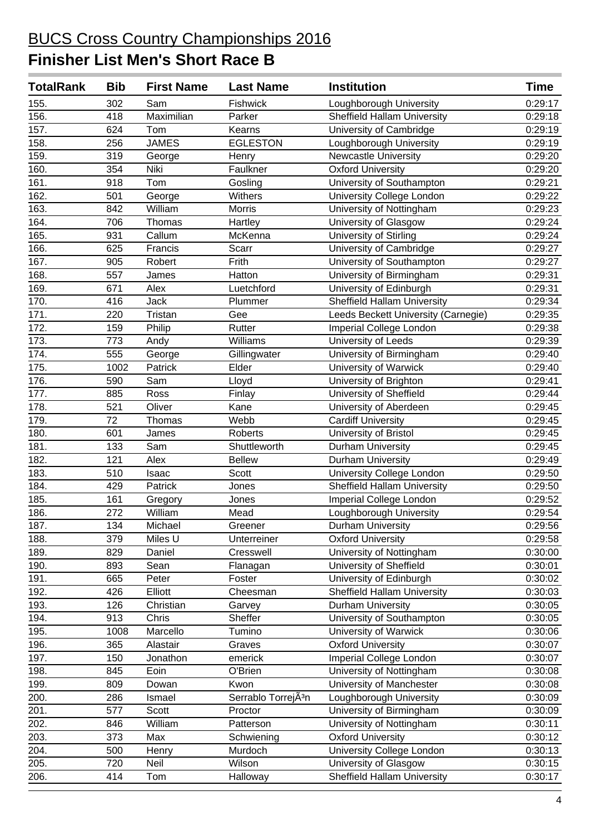| <b>TotalRank</b>   | <b>Bib</b> | <b>First Name</b> | <b>Last Name</b>                | <b>Institution</b>                  | <b>Time</b> |
|--------------------|------------|-------------------|---------------------------------|-------------------------------------|-------------|
| 155.               | 302        | Sam               | Fishwick                        | Loughborough University             | 0:29:17     |
| 156.               | 418        | Maximilian        | Parker                          | <b>Sheffield Hallam University</b>  | 0:29:18     |
| 157.               | 624        | Tom               | Kearns                          | University of Cambridge             | 0:29:19     |
| 158.               | 256        | <b>JAMES</b>      | <b>EGLESTON</b>                 | Loughborough University             | 0:29:19     |
| 159.               | 319        | George            | Henry                           | <b>Newcastle University</b>         | 0:29:20     |
| 160.               | 354        | Niki              | Faulkner                        | <b>Oxford University</b>            | 0:29:20     |
| 161.               | 918        | Tom               | Gosling                         | University of Southampton           | 0:29:21     |
| 162.               | 501        | George            | Withers                         | University College London           | 0:29:22     |
| 163.               | 842        | William           | Morris                          | University of Nottingham            | 0:29:23     |
| 164.               | 706        | Thomas            | Hartley                         | University of Glasgow               | 0:29:24     |
| 165.               | 931        | Callum            | McKenna                         | <b>University of Stirling</b>       | 0:29:24     |
| 166.               | 625        | Francis           | Scarr                           | University of Cambridge             | 0:29:27     |
| 167.               | 905        | Robert            | Frith                           | University of Southampton           | 0:29:27     |
| 168.               | 557        | James             | Hatton                          | University of Birmingham            | 0:29:31     |
| 169.               | 671        | Alex              | Luetchford                      | University of Edinburgh             | 0:29:31     |
| 170.               | 416        | <b>Jack</b>       | Plummer                         | <b>Sheffield Hallam University</b>  | 0:29:34     |
| 171.               | 220        | Tristan           | Gee                             | Leeds Beckett University (Carnegie) | 0:29:35     |
| 172.               | 159        | Philip            | Rutter                          | Imperial College London             | 0:29:38     |
| $\overline{173}$ . | 773        | Andy              | Williams                        | University of Leeds                 | 0:29:39     |
| 174.               | 555        | George            | Gillingwater                    | University of Birmingham            | 0:29:40     |
| 175.               | 1002       | Patrick           | Elder                           | University of Warwick               | 0:29:40     |
| 176.               | 590        | Sam               | Lloyd                           | University of Brighton              | 0:29:41     |
| 177.               | 885        | Ross              | Finlay                          | University of Sheffield             | 0:29:44     |
| 178.               | 521        | Oliver            | Kane                            | University of Aberdeen              | 0:29:45     |
| 179.               | 72         | Thomas            | Webb                            | <b>Cardiff University</b>           | 0:29:45     |
| 180.               | 601        | James             | <b>Roberts</b>                  | University of Bristol               | 0:29:45     |
| 181.               | 133        | Sam               | Shuttleworth                    | Durham University                   | 0:29:45     |
| 182.               | 121        | Alex              | <b>Bellew</b>                   | Durham University                   | 0:29:49     |
| 183.               | 510        | Isaac             | <b>Scott</b>                    | University College London           | 0:29:50     |
| 184.               | 429        | Patrick           | Jones                           | <b>Sheffield Hallam University</b>  | 0:29:50     |
| 185.               | 161        | Gregory           | Jones                           | Imperial College London             | 0:29:52     |
| 186.               | 272        | William           | Mead                            | Loughborough University             | 0:29:54     |
| 187.               | 134        | Michael           | Greener                         | <b>Durham University</b>            | 0:29:56     |
| 188.               | 379        | Miles U           | Unterreiner                     | <b>Oxford University</b>            | 0:29:58     |
| 189.               | 829        | Daniel            | Cresswell                       | University of Nottingham            | 0:30:00     |
| 190.               | 893        | Sean              | Flanagan                        | University of Sheffield             | 0:30:01     |
| 191.               | 665        | Peter             | Foster                          | University of Edinburgh             | 0:30:02     |
| 192.               | 426        | Elliott           | Cheesman                        | Sheffield Hallam University         | 0:30:03     |
| 193.               | 126        | Christian         | Garvey                          | Durham University                   | 0:30:05     |
| 194.               | 913        | Chris             | Sheffer                         | University of Southampton           | 0:30:05     |
| 195.               | 1008       | Marcello          | Tumino                          | University of Warwick               | 0:30:06     |
| 196.               | 365        | Alastair          | Graves                          | <b>Oxford University</b>            | 0:30:07     |
| 197.               | 150        | Jonathon          | emerick                         | Imperial College London             | 0:30:07     |
| 198.               | 845        | Eoin              | O'Brien                         | University of Nottingham            | 0:30:08     |
| 199.               | 809        | Dowan             | Kwon                            | University of Manchester            | 0:30:08     |
| 200.               | 286        | Ismael            | Serrablo Torrej <sub>A3</sub> n | Loughborough University             | 0:30:09     |
| 201.               | 577        | Scott             | Proctor                         | University of Birmingham            | 0:30:09     |
| 202.               | 846        | William           | Patterson                       | University of Nottingham            | 0:30:11     |
| 203.               | 373        | Max               | Schwiening                      | <b>Oxford University</b>            | 0:30:12     |
| 204.               | 500        | Henry             | Murdoch                         | University College London           | 0:30:13     |
| 205.               | 720        | Neil              | Wilson                          | University of Glasgow               | 0:30:15     |
| 206.               | 414        | Tom               | Halloway                        | <b>Sheffield Hallam University</b>  | 0:30:17     |
|                    |            |                   |                                 |                                     |             |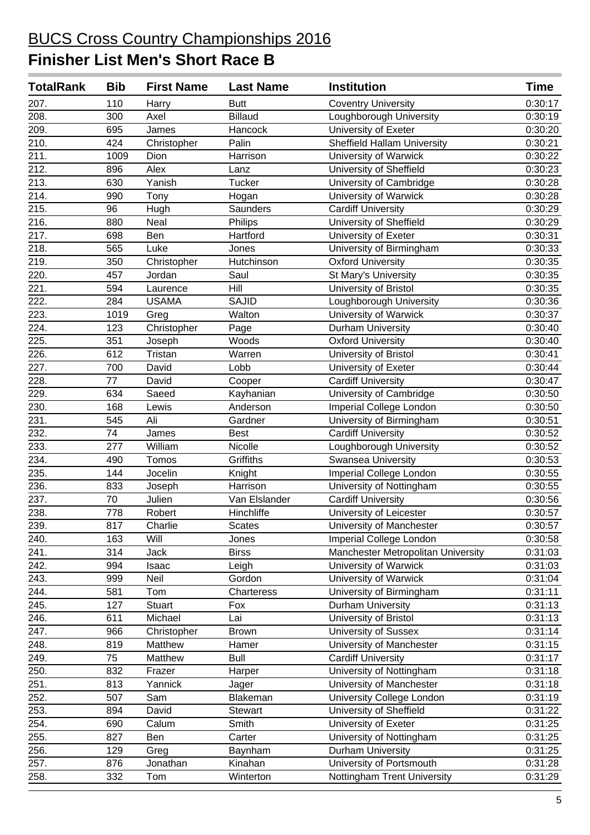| <b>TotalRank</b>   | <b>Bib</b> | <b>First Name</b> | <b>Last Name</b> | <b>Institution</b>                 | Time    |
|--------------------|------------|-------------------|------------------|------------------------------------|---------|
| 207.               | 110        | Harry             | <b>Butt</b>      | <b>Coventry University</b>         | 0:30:17 |
| 208.               | 300        | Axel              | <b>Billaud</b>   | Loughborough University            | 0:30:19 |
| 209.               | 695        | James             | Hancock          | University of Exeter               | 0:30:20 |
| 210.               | 424        | Christopher       | Palin            | <b>Sheffield Hallam University</b> | 0:30:21 |
| 211.               | 1009       | Dion              | Harrison         | University of Warwick              | 0:30:22 |
| 212.               | 896        | Alex              | Lanz             | University of Sheffield            | 0:30:23 |
| 213.               | 630        | Yanish            | <b>Tucker</b>    | University of Cambridge            | 0:30:28 |
| 214.               | 990        | Tony              | Hogan            | University of Warwick              | 0:30:28 |
| $\overline{215}$ . | 96         | Hugh              | Saunders         | <b>Cardiff University</b>          | 0:30:29 |
| 216.               | 880        | Neal              | Philips          | University of Sheffield            | 0:30:29 |
| 217.               | 698        | Ben               | Hartford         | University of Exeter               | 0:30:31 |
| 218.               | 565        | Luke              | Jones            | University of Birmingham           | 0:30:33 |
| 219.               | 350        | Christopher       | Hutchinson       | <b>Oxford University</b>           | 0:30:35 |
| $\overline{220}$ . | 457        | Jordan            | Saul             | St Mary's University               | 0:30:35 |
| 221.               | 594        | Laurence          | Hill             | University of Bristol              | 0:30:35 |
| 222.               | 284        | <b>USAMA</b>      | <b>SAJID</b>     | Loughborough University            | 0:30:36 |
| 223.               | 1019       | Greg              | Walton           | University of Warwick              | 0:30:37 |
| $\overline{224}$ . | 123        | Christopher       | Page             | Durham University                  | 0:30:40 |
| 225.               | 351        | Joseph            | Woods            | <b>Oxford University</b>           | 0:30:40 |
| 226.               | 612        | Tristan           | Warren           | University of Bristol              | 0:30:41 |
| 227.               | 700        | David             | Lobb             | University of Exeter               | 0:30:44 |
| 228.               | 77         | David             | Cooper           | <b>Cardiff University</b>          | 0:30:47 |
| $\overline{229}$ . | 634        | Saeed             | Kayhanian        | University of Cambridge            | 0:30:50 |
| 230.               | 168        | Lewis             | Anderson         | Imperial College London            | 0:30:50 |
| 231.               | 545        | Ali               | Gardner          | University of Birmingham           | 0:30:51 |
| 232.               | 74         | James             | <b>Best</b>      | <b>Cardiff University</b>          | 0:30:52 |
| 233.               | 277        | William           | Nicolle          | Loughborough University            | 0:30:52 |
| 234.               | 490        | Tomos             | Griffiths        | Swansea University                 | 0:30:53 |
| 235.               | 144        | Jocelin           | Knight           | Imperial College London            | 0:30:55 |
| 236.               | 833        | Joseph            | Harrison         | University of Nottingham           | 0:30:55 |
| 237.               | 70         | Julien            | Van Elslander    | <b>Cardiff University</b>          | 0:30:56 |
| 238.               | 778        | Robert            | Hinchliffe       | University of Leicester            | 0:30:57 |
| 239.               | 817        | Charlie           | <b>Scates</b>    | University of Manchester           | 0:30:57 |
| 240.               | 163        | Will              | Jones            | Imperial College London            | 0:30:58 |
| 241.               | 314        | Jack              | <b>Birss</b>     | Manchester Metropolitan University | 0:31:03 |
| 242.               | 994        | Isaac             | Leigh            | University of Warwick              | 0:31:03 |
| 243.               | 999        | Neil              | Gordon           | University of Warwick              | 0:31:04 |
| 244.               | 581        | Tom               | Charteress       | University of Birmingham           | 0:31:11 |
| 245.               | 127        | Stuart            | Fox              | Durham University                  | 0:31:13 |
| 246.               | 611        | Michael           | Lai              | University of Bristol              | 0:31:13 |
| 247.               | 966        | Christopher       | <b>Brown</b>     | <b>University of Sussex</b>        | 0:31:14 |
| 248.               | 819        | Matthew           | Hamer            | University of Manchester           | 0:31:15 |
| 249.               | 75         | Matthew           | <b>Bull</b>      | <b>Cardiff University</b>          | 0:31:17 |
| 250.               | 832        | Frazer            | Harper           | University of Nottingham           | 0:31:18 |
| 251.               | 813        | Yannick           | Jager            | University of Manchester           | 0:31:18 |
| 252.               | 507        | Sam               | Blakeman         | University College London          | 0:31:19 |
| 253.               | 894        | David             | Stewart          | University of Sheffield            | 0:31:22 |
| 254.               | 690        | Calum             | Smith            | University of Exeter               | 0:31:25 |
| 255.               | 827        | Ben               | Carter           | University of Nottingham           | 0:31:25 |
| 256.               | 129        | Greg              | Baynham          | Durham University                  | 0:31:25 |
| 257.               | 876        | Jonathan          | Kinahan          | University of Portsmouth           | 0:31:28 |
| 258.               | 332        | Tom               | Winterton        | Nottingham Trent University        | 0:31:29 |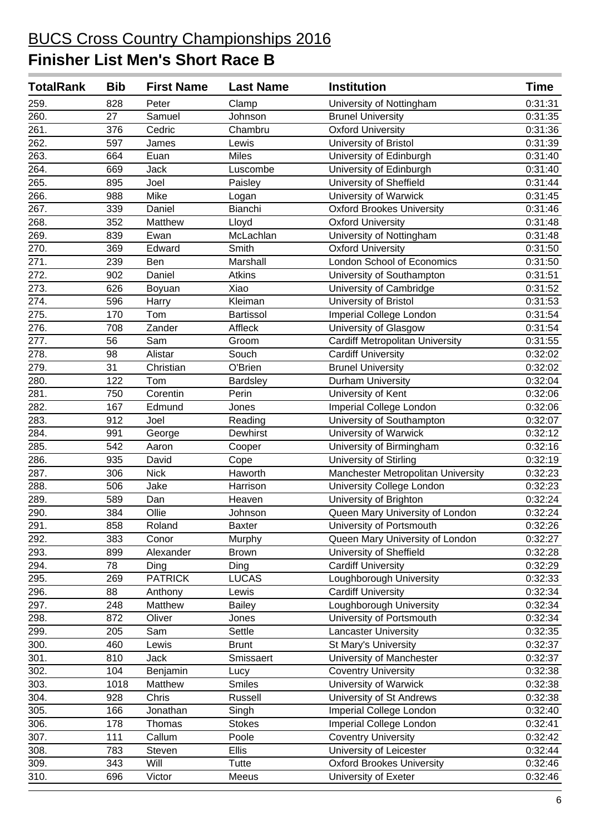| <b>TotalRank</b> | <b>Bib</b> | <b>First Name</b> | <b>Last Name</b> | <b>Institution</b>                     | <b>Time</b> |
|------------------|------------|-------------------|------------------|----------------------------------------|-------------|
| 259.             | 828        | Peter             | Clamp            | University of Nottingham               | 0:31:31     |
| 260.             | 27         | Samuel            | Johnson          | <b>Brunel University</b>               | 0:31:35     |
| 261.             | 376        | Cedric            | Chambru          | <b>Oxford University</b>               | 0:31:36     |
| 262.             | 597        | James             | Lewis            | University of Bristol                  | 0:31:39     |
| 263.             | 664        | Euan              | <b>Miles</b>     | University of Edinburgh                | 0:31:40     |
| 264.             | 669        | <b>Jack</b>       | Luscombe         | University of Edinburgh                | 0:31:40     |
| 265.             | 895        | Joel              | Paisley          | University of Sheffield                | 0:31:44     |
| 266.             | 988        | Mike              | Logan            | University of Warwick                  | 0:31:45     |
| 267.             | 339        | Daniel            | Bianchi          | <b>Oxford Brookes University</b>       | 0:31:46     |
| 268.             | 352        | Matthew           | Lloyd            | Oxford University                      | 0:31:48     |
| 269.             | 839        | Ewan              | McLachlan        | University of Nottingham               | 0:31:48     |
| 270.             | 369        | Edward            | Smith            | <b>Oxford University</b>               | 0:31:50     |
| 271.             | 239        | Ben               | Marshall         | London School of Economics             | 0:31:50     |
| 272.             | 902        | Daniel            | Atkins           | University of Southampton              | 0:31:51     |
| 273.             | 626        | Boyuan            | Xiao             | University of Cambridge                | 0:31:52     |
| 274.             | 596        | Harry             | Kleiman          | University of Bristol                  | 0:31:53     |
| 275.             | 170        | Tom               | <b>Bartissol</b> | Imperial College London                | 0:31:54     |
| 276.             | 708        | Zander            | Affleck          | University of Glasgow                  | 0:31:54     |
| 277.             | 56         | Sam               | Groom            | <b>Cardiff Metropolitan University</b> | 0:31:55     |
| 278.             | 98         | Alistar           | Souch            | <b>Cardiff University</b>              | 0:32:02     |
| 279.             | 31         | Christian         | O'Brien          | <b>Brunel University</b>               | 0:32:02     |
| 280.             | 122        | Tom               | Bardsley         | Durham University                      | 0:32:04     |
| 281.             | 750        | Corentin          | Perin            | University of Kent                     | 0:32:06     |
| 282.             | 167        | Edmund            | Jones            | Imperial College London                | 0:32:06     |
| 283.             | 912        | Joel              | Reading          | University of Southampton              | 0:32:07     |
| 284.             | 991        | George            | Dewhirst         | University of Warwick                  | 0:32:12     |
| 285.             | 542        | Aaron             | Cooper           | University of Birmingham               | 0:32:16     |
| 286.             | 935        | David             | Cope             | University of Stirling                 | 0:32:19     |
| 287.             | 306        | <b>Nick</b>       | Haworth          | Manchester Metropolitan University     | 0:32:23     |
| 288.             | 506        | Jake              | Harrison         | University College London              | 0:32:23     |
| 289.             | 589        | Dan               | Heaven           | University of Brighton                 | 0:32:24     |
| 290.             | 384        | Ollie             | Johnson          | Queen Mary University of London        | 0:32:24     |
| 291.             | 858        | Roland            | <b>Baxter</b>    | University of Portsmouth               | 0:32:26     |
| 292.             | 383        | Conor             | Murphy           | Queen Mary University of London        | 0:32:27     |
| 293.             | 899        | Alexander         | <b>Brown</b>     | University of Sheffield                | 0:32:28     |
| 294.             | 78         | Ding              | Ding             | Cardiff University                     | 0:32:29     |
| 295.             | 269        | <b>PATRICK</b>    | <b>LUCAS</b>     | Loughborough University                | 0:32:33     |
| 296.             | 88         | Anthony           | Lewis            | <b>Cardiff University</b>              | 0:32:34     |
| 297.             | 248        | Matthew           | <b>Bailey</b>    | Loughborough University                | 0:32:34     |
| 298.             | 872        | Oliver            | Jones            | University of Portsmouth               | 0:32:34     |
| 299.             | 205        | Sam               | Settle           | <b>Lancaster University</b>            | 0:32:35     |
| 300.             | 460        | Lewis             | <b>Brunt</b>     | St Mary's University                   | 0:32:37     |
| 301.             | 810        | Jack              | Smissaert        | University of Manchester               | 0:32:37     |
| 302.             | 104        | Benjamin          | Lucy             | <b>Coventry University</b>             | 0:32:38     |
| 303.             | 1018       | Matthew           | <b>Smiles</b>    | University of Warwick                  | 0:32:38     |
| 304.             | 928        | Chris             | Russell          | University of St Andrews               | 0:32:38     |
| 305.             | 166        | Jonathan          | Singh            | <b>Imperial College London</b>         | 0:32:40     |
| 306.             | 178        | Thomas            | <b>Stokes</b>    | Imperial College London                | 0:32:41     |
| 307.             | 111        | Callum            | Poole            | <b>Coventry University</b>             | 0:32:42     |
| 308.             | 783        | Steven            | <b>Ellis</b>     | University of Leicester                | 0:32:44     |
| 309.             | 343        | Will              | Tutte            | <b>Oxford Brookes University</b>       | 0:32:46     |
| 310.             | 696        | Victor            | Meeus            | University of Exeter                   | 0:32:46     |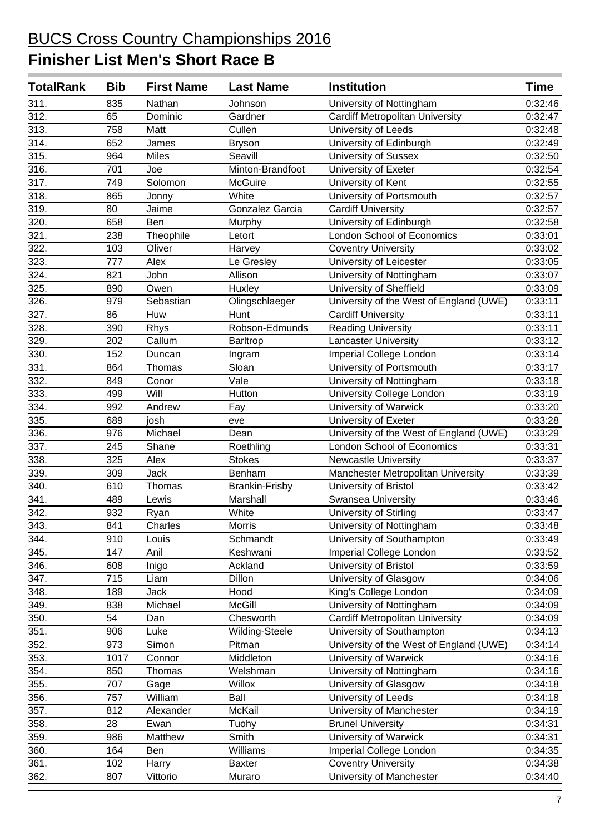| <b>TotalRank</b> | <b>Bib</b> | <b>First Name</b> | <b>Last Name</b>      | <b>Institution</b>                      | <b>Time</b> |
|------------------|------------|-------------------|-----------------------|-----------------------------------------|-------------|
| 311.             | 835        | Nathan            | Johnson               | University of Nottingham                | 0:32:46     |
| 312.             | 65         | Dominic           | Gardner               | <b>Cardiff Metropolitan University</b>  | 0:32:47     |
| 313.             | 758        | Matt              | Cullen                | University of Leeds                     | 0:32:48     |
| 314.             | 652        | James             | <b>Bryson</b>         | University of Edinburgh                 | 0:32:49     |
| 315.             | 964        | <b>Miles</b>      | Seavill               | <b>University of Sussex</b>             | 0:32:50     |
| 316.             | 701        | Joe               | Minton-Brandfoot      | University of Exeter                    | 0:32:54     |
| 317.             | 749        | Solomon           | <b>McGuire</b>        | University of Kent                      | 0:32:55     |
| 318.             | 865        | Jonny             | White                 | University of Portsmouth                | 0:32:57     |
| 319.             | 80         | Jaime             | Gonzalez Garcia       | <b>Cardiff University</b>               | 0:32:57     |
| 320.             | 658        | Ben               | Murphy                | University of Edinburgh                 | 0:32:58     |
| 321.             | 238        | Theophile         | Letort                | <b>London School of Economics</b>       | 0:33:01     |
| 322.             | 103        | Oliver            | Harvey                | <b>Coventry University</b>              | 0:33:02     |
| 323.             | 777        | Alex              | Le Gresley            | University of Leicester                 | 0:33:05     |
| 324.             | 821        | John              | Allison               | University of Nottingham                | 0:33:07     |
| 325.             | 890        | Owen              | Huxley                | University of Sheffield                 | 0:33:09     |
| 326.             | 979        | Sebastian         | Olingschlaeger        | University of the West of England (UWE) | 0:33:11     |
| 327.             | 86         | Huw               | Hunt                  | <b>Cardiff University</b>               | 0:33:11     |
| 328.             | 390        | Rhys              | Robson-Edmunds        | <b>Reading University</b>               | 0:33:11     |
| 329.             | 202        | Callum            | Barltrop              | <b>Lancaster University</b>             | 0:33:12     |
| 330.             | 152        | Duncan            | Ingram                | Imperial College London                 | 0:33:14     |
| 331.             | 864        | Thomas            | Sloan                 | University of Portsmouth                | 0:33:17     |
| 332.             | 849        | Conor             | Vale                  | University of Nottingham                | 0:33:18     |
| 333.             | 499        | Will              | Hutton                | University College London               | 0:33:19     |
| 334.             | 992        | Andrew            | Fay                   | University of Warwick                   | 0:33:20     |
| 335.             | 689        | josh              | eve                   | University of Exeter                    | 0:33:28     |
| 336.             | 976        | Michael           | Dean                  | University of the West of England (UWE) | 0:33:29     |
| 337.             | 245        | Shane             | Roethling             | London School of Economics              | 0:33:31     |
| 338.             | 325        | Alex              | <b>Stokes</b>         | <b>Newcastle University</b>             | 0:33:37     |
| 339.             | 309        | <b>Jack</b>       | Benham                | Manchester Metropolitan University      | 0:33:39     |
| 340.             | 610        | Thomas            | <b>Brankin-Frisby</b> | University of Bristol                   | 0:33:42     |
| 341.             | 489        | Lewis             | Marshall              | Swansea University                      | 0:33:46     |
| 342.             | 932        | Ryan              | White                 | University of Stirling                  | 0:33:47     |
| 343.             | 841        | Charles           | Morris                | University of Nottingham                | 0:33:48     |
| 344.             | 910        | Louis             | Schmandt              | University of Southampton               | 0:33:49     |
| 345.             | 147        | Anil              | Keshwani              | Imperial College London                 | 0:33:52     |
| 346.             | 608        | Inigo             | Ackland               | University of Bristol                   | 0:33:59     |
| 347.             | 715        | Liam              | <b>Dillon</b>         | University of Glasgow                   | 0:34:06     |
| 348.             | 189        | Jack              | Hood                  | King's College London                   | 0:34:09     |
| 349.             | 838        | Michael           | <b>McGill</b>         | University of Nottingham                | 0:34:09     |
| 350.             | 54         | Dan               | Chesworth             | <b>Cardiff Metropolitan University</b>  | 0:34:09     |
| 351.             | 906        | Luke              | Wilding-Steele        | University of Southampton               | 0:34:13     |
| 352.             | 973        | Simon             | Pitman                | University of the West of England (UWE) | 0:34:14     |
| 353.             | 1017       | Connor            | Middleton             | University of Warwick                   | 0:34:16     |
| 354.             | 850        | Thomas            | Welshman              | University of Nottingham                | 0:34:16     |
| 355.             | 707        | Gage              | Willox                | University of Glasgow                   | 0:34:18     |
| 356.             | 757        | William           | Ball                  | University of Leeds                     | 0:34:18     |
| 357.             | 812        | Alexander         | McKail                | University of Manchester                | 0:34:19     |
| 358.             | 28         | Ewan              | Tuohy                 | <b>Brunel University</b>                | 0:34:31     |
| 359.             | 986        | Matthew           | Smith                 | University of Warwick                   | 0:34:31     |
| 360.             | 164        | Ben               | Williams              | Imperial College London                 | 0:34:35     |
| 361.             | 102        | Harry             | <b>Baxter</b>         | <b>Coventry University</b>              | 0:34:38     |
| 362.             | 807        | Vittorio          | Muraro                | University of Manchester                | 0:34:40     |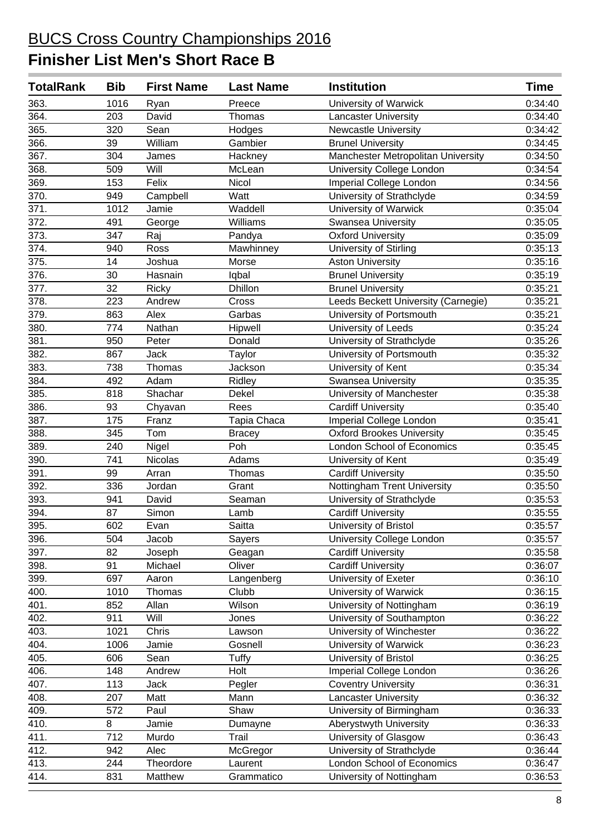| <b>TotalRank</b>   | <b>Bib</b> | <b>First Name</b> | <b>Last Name</b> | <b>Institution</b>                  | <b>Time</b> |
|--------------------|------------|-------------------|------------------|-------------------------------------|-------------|
| 363.               | 1016       | Ryan              | Preece           | University of Warwick               | 0:34:40     |
| 364.               | 203        | David             | Thomas           | <b>Lancaster University</b>         | 0:34:40     |
| 365.               | 320        | Sean              | Hodges           | <b>Newcastle University</b>         | 0:34:42     |
| 366.               | 39         | William           | Gambier          | <b>Brunel University</b>            | 0:34:45     |
| 367.               | 304        | James             | Hackney          | Manchester Metropolitan University  | 0:34:50     |
| 368.               | 509        | Will              | McLean           | University College London           | 0:34:54     |
| 369.               | 153        | Felix             | Nicol            | Imperial College London             | 0:34:56     |
| $\overline{370}$ . | 949        | Campbell          | Watt             | University of Strathclyde           | 0:34:59     |
| 371.               | 1012       | Jamie             | Waddell          | University of Warwick               | 0:35:04     |
| 372.               | 491        | George            | Williams         | Swansea University                  | 0:35:05     |
| 373.               | 347        | Raj               | Pandya           | <b>Oxford University</b>            | 0:35:09     |
| 374.               | 940        | Ross              | Mawhinney        | University of Stirling              | 0:35:13     |
| 375.               | 14         | Joshua            | Morse            | <b>Aston University</b>             | 0:35:16     |
| 376.               | 30         | Hasnain           | Iqbal            | <b>Brunel University</b>            | 0:35:19     |
| 377.               | 32         | Ricky             | <b>Dhillon</b>   | <b>Brunel University</b>            | 0:35:21     |
| 378.               | 223        | Andrew            | Cross            | Leeds Beckett University (Carnegie) | 0:35:21     |
| 379.               | 863        | Alex              | Garbas           | University of Portsmouth            | 0:35:21     |
| 380.               | 774        | Nathan            | Hipwell          | University of Leeds                 | 0:35:24     |
| 381.               | 950        | Peter             | Donald           | University of Strathclyde           | 0:35:26     |
| 382.               | 867        | <b>Jack</b>       | <b>Taylor</b>    | University of Portsmouth            | 0:35:32     |
| 383.               | 738        | Thomas            | Jackson          | University of Kent                  | 0:35:34     |
| 384.               | 492        | Adam              | Ridley           | <b>Swansea University</b>           | 0:35:35     |
| 385.               | 818        | Shachar           | Dekel            | University of Manchester            | 0:35:38     |
| 386.               | 93         | Chyavan           | Rees             | <b>Cardiff University</b>           | 0:35:40     |
| 387.               | 175        | Franz             | Tapia Chaca      | Imperial College London             | 0:35:41     |
| 388.               | 345        | Tom               | <b>Bracey</b>    | <b>Oxford Brookes University</b>    | 0:35:45     |
| 389.               | 240        | Nigel             | Poh              | London School of Economics          | 0:35:45     |
| 390.               | 741        | Nicolas           | Adams            | University of Kent                  | 0:35:49     |
| 391.               | 99         | Arran             | Thomas           | <b>Cardiff University</b>           | 0:35:50     |
| 392.               | 336        | Jordan            | Grant            | Nottingham Trent University         | 0:35:50     |
| 393.               | 941        | David             | Seaman           | University of Strathclyde           | 0:35:53     |
| 394.               | 87         | Simon             | Lamb             | <b>Cardiff University</b>           | 0:35:55     |
| 395.               | 602        | Evan              | Saitta           | University of Bristol               | 0:35:57     |
| 396.               | 504        | Jacob             | Sayers           | University College London           | 0:35:57     |
| 397.               | 82         | Joseph            | Geagan           | <b>Cardiff University</b>           | 0:35:58     |
| 398.               | 91         | Michael           | Oliver           | <b>Cardiff University</b>           | 0:36:07     |
| 399.               | 697        | Aaron             | Langenberg       | University of Exeter                | 0:36:10     |
| 400.               | 1010       | Thomas            | Clubb            | University of Warwick               | 0:36:15     |
| 401.               | 852        | Allan             | Wilson           | University of Nottingham            | 0:36:19     |
| 402.               | 911        | Will              | Jones            | University of Southampton           | 0:36:22     |
| 403.               | 1021       | Chris             | Lawson           | University of Winchester            | 0:36:22     |
| 404.               | 1006       | Jamie             | Gosnell          | University of Warwick               | 0:36:23     |
| 405.               | 606        | Sean              | Tuffy            | University of Bristol               | 0:36:25     |
| 406.               | 148        | Andrew            | Holt             | Imperial College London             | 0:36:26     |
| 407.               | 113        | Jack              | Pegler           | <b>Coventry University</b>          | 0:36:31     |
| 408.               | 207        | Matt              | Mann             | <b>Lancaster University</b>         | 0:36:32     |
| 409.               | 572        | Paul              | Shaw             | University of Birmingham            | 0:36:33     |
| 410.               | 8          | Jamie             | Dumayne          | Aberystwyth University              | 0:36:33     |
| 411.               | 712        | Murdo             | Trail            | University of Glasgow               | 0:36:43     |
| 412.               | 942        | Alec              | McGregor         | University of Strathclyde           | 0:36:44     |
| 413.               | 244        | Theordore         | Laurent          | London School of Economics          | 0:36:47     |
| 414.               | 831        | Matthew           | Grammatico       | University of Nottingham            | 0:36:53     |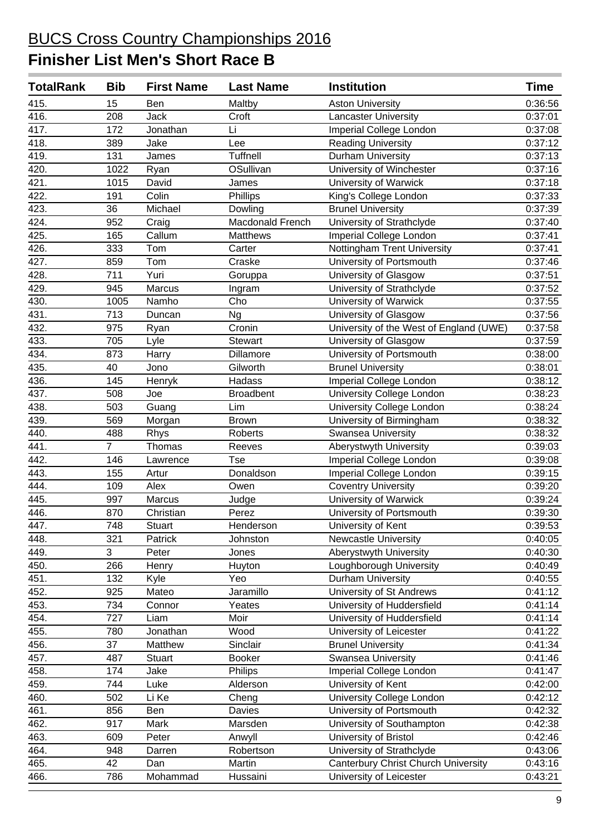| <b>TotalRank</b> | <b>Bib</b>     | <b>First Name</b> | <b>Last Name</b> | <b>Institution</b>                         | Time    |
|------------------|----------------|-------------------|------------------|--------------------------------------------|---------|
| 415.             | 15             | Ben               | Maltby           | <b>Aston University</b>                    | 0:36:56 |
| 416.             | 208            | <b>Jack</b>       | Croft            | <b>Lancaster University</b>                | 0:37:01 |
| 417.             | 172            | Jonathan          | Li               | Imperial College London                    | 0:37:08 |
| 418.             | 389            | Jake              | Lee              | <b>Reading University</b>                  | 0:37:12 |
| 419.             | 131            | James             | <b>Tuffnell</b>  | Durham University                          | 0:37:13 |
| 420.             | 1022           | Ryan              | OSullivan        | University of Winchester                   | 0:37:16 |
| 421.             | 1015           | David             | James            | University of Warwick                      | 0:37:18 |
| 422.             | 191            | Colin             | Phillips         | King's College London                      | 0:37:33 |
| 423.             | 36             | Michael           | Dowling          | <b>Brunel University</b>                   | 0:37:39 |
| 424.             | 952            | Craig             | Macdonald French | University of Strathclyde                  | 0:37:40 |
| 425.             | 165            | Callum            | Matthews         | Imperial College London                    | 0:37:41 |
| 426.             | 333            | Tom               | Carter           | Nottingham Trent University                | 0:37:41 |
| 427.             | 859            | Tom               | Craske           | University of Portsmouth                   | 0:37:46 |
| 428.             | 711            | Yuri              | Goruppa          | University of Glasgow                      | 0:37:51 |
| 429.             | 945            | Marcus            | Ingram           | University of Strathclyde                  | 0:37:52 |
| 430.             | 1005           | Namho             | Cho              | University of Warwick                      | 0:37:55 |
| 431.             | 713            | Duncan            | <b>Ng</b>        | University of Glasgow                      | 0:37:56 |
| 432.             | 975            | Ryan              | Cronin           | University of the West of England (UWE)    | 0:37:58 |
| 433.             | 705            | Lyle              | Stewart          | University of Glasgow                      | 0:37:59 |
| 434.             | 873            | Harry             | Dillamore        | University of Portsmouth                   | 0:38:00 |
| 435.             | 40             | Jono              | Gilworth         | <b>Brunel University</b>                   | 0:38:01 |
| 436.             | 145            | Henryk            | Hadass           | Imperial College London                    | 0:38:12 |
| 437.             | 508            | Joe               | <b>Broadbent</b> | University College London                  | 0:38:23 |
| 438.             | 503            | Guang             | Lim              | University College London                  | 0:38:24 |
| 439.             | 569            | Morgan            | <b>Brown</b>     | University of Birmingham                   | 0:38:32 |
| 440.             | 488            | Rhys              | Roberts          | Swansea University                         | 0:38:32 |
| 441.             | $\overline{7}$ | Thomas            | Reeves           | Aberystwyth University                     | 0:39:03 |
| 442.             | 146            | Lawrence          | <b>Tse</b>       | Imperial College London                    | 0:39:08 |
| 443.             | 155            | Artur             | Donaldson        | Imperial College London                    | 0:39:15 |
| 444.             | 109            | Alex              | Owen             | <b>Coventry University</b>                 | 0:39:20 |
| 445.             | 997            | Marcus            | Judge            | University of Warwick                      | 0:39:24 |
| 446.             | 870            | Christian         | Perez            | University of Portsmouth                   | 0:39:30 |
| 447.             | 748            | <b>Stuart</b>     | <b>Henderson</b> | University of Kent                         | 0:39:53 |
| 448.             | 321            | Patrick           | Johnston         | <b>Newcastle University</b>                | 0:40:05 |
| 449.             | 3              | Peter             | Jones            | Aberystwyth University                     | 0:40:30 |
| 450.             | 266            | Henry             | Huyton           | Loughborough University                    | 0:40:49 |
| 451.             | 132            | Kyle              | Yeo              | <b>Durham University</b>                   | 0:40:55 |
| 452.             | 925            | Mateo             | Jaramillo        | University of St Andrews                   | 0:41:12 |
| 453.             | 734            | Connor            | Yeates           | University of Huddersfield                 | 0:41:14 |
| 454.             | 727            | Liam              | Moir             | University of Huddersfield                 | 0:41:14 |
| 455.             | 780            | Jonathan          | Wood             | University of Leicester                    | 0:41:22 |
| 456.             | 37             | Matthew           | Sinclair         | <b>Brunel University</b>                   | 0:41:34 |
| 457.             | 487            | Stuart            | <b>Booker</b>    | <b>Swansea University</b>                  | 0:41:46 |
| 458.             | 174            | Jake              | Philips          | Imperial College London                    | 0:41:47 |
| 459.             | 744            | Luke              | Alderson         | University of Kent                         | 0:42:00 |
| 460.             | 502            | Li Ke             | Cheng            | University College London                  | 0:42:12 |
| 461.             | 856            | Ben               | Davies           | University of Portsmouth                   | 0:42:32 |
| 462.             | 917            | Mark              | Marsden          | University of Southampton                  | 0:42:38 |
| 463.             | 609            | Peter             | Anwyll           | University of Bristol                      | 0:42:46 |
| 464.             | 948            | Darren            | Robertson        | University of Strathclyde                  | 0:43:06 |
| 465.             | 42             | Dan               | Martin           | <b>Canterbury Christ Church University</b> | 0:43:16 |
| 466.             | 786            | Mohammad          | Hussaini         | University of Leicester                    | 0:43:21 |
|                  |                |                   |                  |                                            |         |